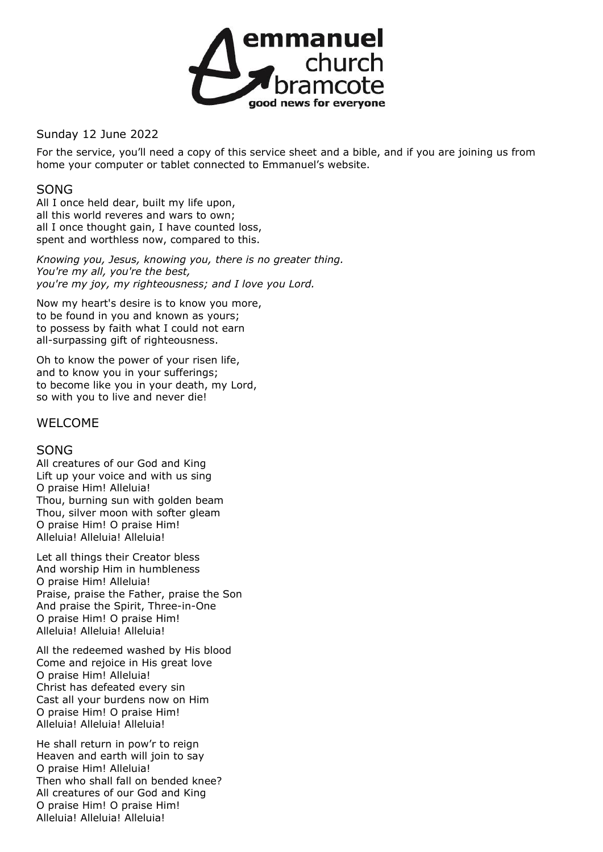

Sunday 12 June 2022

For the service, you'll need a copy of this service sheet and a bible, and if you are joining us from home your computer or tablet connected to Emmanuel's website.

# SONG

All I once held dear, built my life upon, all this world reveres and wars to own; all I once thought gain, I have counted loss, spent and worthless now, compared to this.

*Knowing you, Jesus, knowing you, there is no greater thing. You're my all, you're the best, you're my joy, my righteousness; and I love you Lord.*

Now my heart's desire is to know you more, to be found in you and known as yours; to possess by faith what I could not earn all-surpassing gift of righteousness.

Oh to know the power of your risen life, and to know you in your sufferings; to become like you in your death, my Lord, so with you to live and never die!

## WELCOME

# SONG

All creatures of our God and King Lift up your voice and with us sing O praise Him! Alleluia! Thou, burning sun with golden beam Thou, silver moon with softer gleam O praise Him! O praise Him! Alleluia! Alleluia! Alleluia!

Let all things their Creator bless And worship Him in humbleness O praise Him! Alleluia! Praise, praise the Father, praise the Son And praise the Spirit, Three-in-One O praise Him! O praise Him! Alleluia! Alleluia! Alleluia!

All the redeemed washed by His blood Come and rejoice in His great love O praise Him! Alleluia! Christ has defeated every sin Cast all your burdens now on Him O praise Him! O praise Him! Alleluia! Alleluia! Alleluia!

He shall return in pow'r to reign Heaven and earth will join to say O praise Him! Alleluia! Then who shall fall on bended knee? All creatures of our God and King O praise Him! O praise Him! Alleluia! Alleluia! Alleluia!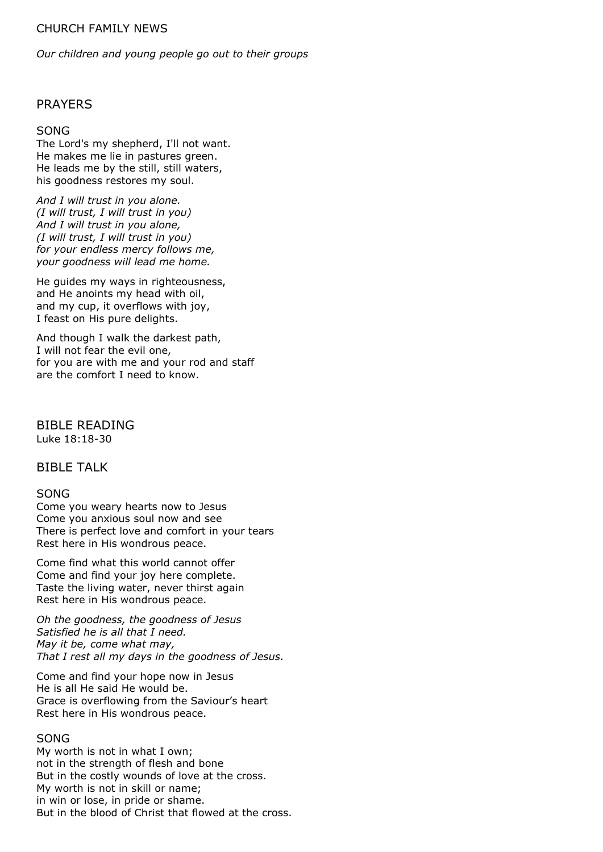## CHURCH FAMILY NEWS

*Our children and young people go out to their groups*

## PRAYERS

### SONG

The Lord's my shepherd, I'll not want. He makes me lie in pastures green. He leads me by the still, still waters, his goodness restores my soul.

*And I will trust in you alone. (I will trust, I will trust in you) And I will trust in you alone, (I will trust, I will trust in you) for your endless mercy follows me, your goodness will lead me home.*

He guides my ways in righteousness, and He anoints my head with oil, and my cup, it overflows with joy, I feast on His pure delights.

And though I walk the darkest path, I will not fear the evil one, for you are with me and your rod and staff are the comfort I need to know.

BIBLE READING Luke 18:18-30

### BIBLE TALK

#### SONG

Come you weary hearts now to Jesus Come you anxious soul now and see There is perfect love and comfort in your tears Rest here in His wondrous peace.

Come find what this world cannot offer Come and find your joy here complete. Taste the living water, never thirst again Rest here in His wondrous peace.

*Oh the goodness, the goodness of Jesus Satisfied he is all that I need. May it be, come what may, That I rest all my days in the goodness of Jesus.*

Come and find your hope now in Jesus He is all He said He would be. Grace is overflowing from the Saviour's heart Rest here in His wondrous peace.

### SONG

My worth is not in what I own; not in the strength of flesh and bone But in the costly wounds of love at the cross. My worth is not in skill or name; in win or lose, in pride or shame. But in the blood of Christ that flowed at the cross.